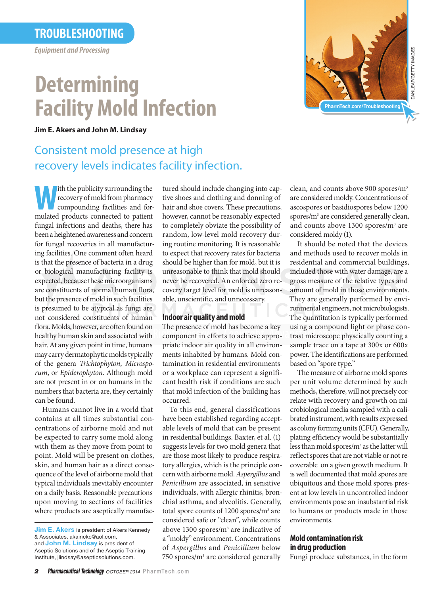### **Troubleshooting**

*Equipment and Processing*

# **Determining Facility Mold Infection**

**Jim E. Akers and John M. Lindsay**

## Consistent mold presence at high recovery levels indicates facility infection.

**W**ith the publicity surrounding the<br>recovery of mold from pharmacy<br>compounding facilities and for-<br>mulated products connected to patient recovery of mold from pharmacy compounding facilities and formulated products connected to patient fungal infections and deaths, there has been a heightened awareness and concern for fungal recoveries in all manufacturing facilities. One comment often heard is that the presence of bacteria in a drug or biological manufacturing facility is expected, because these microorganisms are constituents of normal human flora, but the presence of mold in such facilities is presumed to be atypical as fungi are not considered constituents of human flora. Molds, however, are often found on healthy human skin and associated with hair. At any given point in time, humans may carry dermatophytic molds typically of the genera *Trichtophyton*, *Microsporum*, or *Epiderophyton*. Although mold are not present in or on humans in the numbers that bacteria are, they certainly can be found.

Humans cannot live in a world that contains at all times substantial concentrations of airborne mold and not be expected to carry some mold along with them as they move from point to point. Mold will be present on clothes, skin, and human hair as a direct consequence of the level of airborne mold that typical individuals inevitably encounter on a daily basis. Reasonable precautions upon moving to sections of facilities where products are aseptically manufactured should include changing into captive shoes and clothing and donning of hair and shoe covers. These precautions, however, cannot be reasonably expected to completely obviate the possibility of random, low-level mold recovery during routine monitoring. It is reasonable to expect that recovery rates for bacteria should be higher than for mold, but it is unreasonable to think that mold should never be recovered. An enforced zero recovery target level for mold is unreasonable, unscientific, and unnecessary.

#### **Indoor air quality and mold**

The presence of mold has become a key component in efforts to achieve appropriate indoor air quality in all environments inhabited by humans. Mold contamination in residential environments or a workplace can represent a significant health risk if conditions are such that mold infection of the building has occurred.

To this end, general classifications have been established regarding acceptable levels of mold that can be present in residential buildings. Baxter, et al. (1) suggests levels for two mold genera that are those most likely to produce respiratory allergies, which is the principle concern with airborne mold. *Aspergillus* and *Penicillium* are associated, in sensitive individuals, with allergic rhinitis, bronchial asthma, and alveolitis. Generally, total spore counts of 1200 spores/m<sup>3</sup> are considered safe or "clean", while counts above 1300 spores/m<sup>3</sup> are indicative of a "moldy" environment. Concentrations of *Aspergillus* and *Penicillium* below 750 spores/m<sup>3</sup> are considered generally



clean, and counts above 900 spores/m<sup>3</sup> are considered moldy. Concentrations of ascospores or basidiospores below 1200 spores/m<sup>3</sup> are considered generally clean, and counts above 1300 spores/m<sup>3</sup> are considered moldy (1).

It should be noted that the devices and methods used to recover molds in residential and commercial buildings, included those with water damage, are a gross measure of the relative types and amount of mold in those environments. They are generally performed by environmental engineers, not microbiologists. The quantitation is typically performed using a compound light or phase contrast microscope physcically counting a sample trace on a tape at 300x or 600x power. The identifications are performed based on "spore type."

The measure of airborne mold spores per unit volume determined by such methods, therefore, will not precisely correlate with recovery and growth on microbiological media sampled with a calibrated instrument, with results expressed as colony forming units (CFU). Generally, plating efficiency would be substantially less than mold spores/m<sup>3</sup> as the latter will reflect spores that are not viable or not recoverable on a given growth medium. It is well documented that mold spores are ubiquitous and those mold spores present at low levels in uncontrolled indoor environments pose an insubstantial risk to humans or products made in those environments.

### **Mold contamination risk in drug production**

Fungi produce substances, in the form

**Jim E. Akers** is president of Akers Kennedy & Associates, akainckc@aol.com, and John M. Lindsay is president of Aseptic Solutions and of the Aseptic Training Institute, jlindsay@asepticsolutions.com.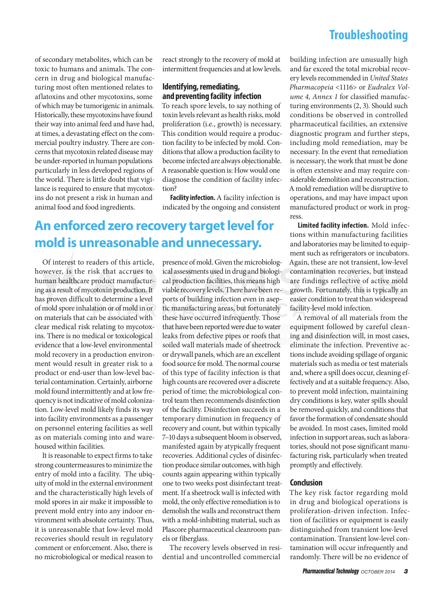### **Troubleshooting**

of secondary metabolites, which can be toxic to humans and animals. The concern in drug and biological manufacturing most often mentioned relates to aflatoxins and other mycotoxins, some of which may be tumorigenic in animals. Historically, these mycotoxins have found their way into animal feed and have had, at times, a devastating effect on the commercial poultry industry. There are concerns that mycotoxin related disease may be under-reported in human populations particularly in less developed regions of the world. There is little doubt that vigilance is required to ensure that mycotoxins do not present a risk in human and animal food and food ingredients.

react strongly to the recovery of mold at intermittent frequencies and at low levels.

#### **Identifying, remediating, and preventing facility infection**

To reach spore levels, to say nothing of toxin levels relevant as health risks, mold proliferation (i.e., growth) is necessary. This condition would require a production facility to be infected by mold. Conditions that allow a production facility to become infected are always objectionable. A reasonable question is: How would one diagnose the condition of facility infection?

**Facility infection.** A facility infection is indicated by the ongoing and consistent

## **An enforced zero recovery target level for mold is unreasonable and unnecessary.**

Of interest to readers of this article, however, is the risk that accrues to human healthcare product manufacturing as a result of mycotoxin production. It has proven difficult to determine a level of mold spore inhalation or of mold in or on materials that can be associated with clear medical risk relating to mycotoxins. There is no medical or toxicological evidence that a low-level environmental mold recovery in a production environment would result in greater risk to a product or end-user than low-level bacterial contamination. Certainly, airborne mold found intermittently and at low frequency is not indicative of mold colonization. Low-level mold likely finds its way into facility environments as a passenger on personnel entering facilities as well as on materials coming into and warehoused within facilities.

It is reasonable to expect firms to take strong countermeasures to minimize the entry of mold into a facility. The ubiquity of mold in the external environment and the characteristically high levels of mold spores in air make it impossible to prevent mold entry into any indoor environment with absolute certainty. Thus, it is unreasonable that low-level mold recoveries should result in regulatory comment or enforcement. Also, there is no microbiological or medical reason to

presence of mold. Given the microbiological assessments used in drug and biological production facilities, this means high viable recovery levels. There have been reports of building infection even in aseptic manufacturing areas, but fortunately these have occurred infrequently. Those that have been reported were due to water leaks from defective pipes or roofs that soiled wall materials made of sheetrock or drywall panels, which are an excellent food source for mold. The normal course of this type of facility infection is that high counts are recovered over a discrete period of time; the microbiological control team then recommends disinfection of the facility. Disinfection succeeds in a temporary diminution in frequency of recovery and count, but within typically 7–10 days a subsequent bloom is observed, manifested again by atypically frequent recoveries. Additional cycles of disinfection produce similar outcomes, with high counts again appearing within typically one to two weeks post disinfectant treatment. If a sheetrock wall is infected with mold, the only effective remediation is to demolish the walls and reconstruct them with a mold-inhibiting material, such as Plascore pharmaceutical cleanroom panels or fiberglass.

The recovery levels observed in residential and uncontrolled commercial

building infection are unusually high and far exceed the total microbial recovery levels recommended in *United States Pharmacopeia* <1116> or *Eudralex Volume 4, Annex 1* for classified manufacturing environments (2, 3). Should such conditions be observed in controlled pharmaceutical facilities, an extensive diagnostic program and further steps, including mold remediation, may be necessary. In the event that remediation is necessary, the work that must be done is often extensive and may require considerable demolition and reconstruction. A mold remediation will be disruptive to operations, and may have impact upon manufactured product or work in progress.

**Limited facility infection.** Mold infections within manufacturing facilities and laboratories may be limited to equipment such as refrigerators or incubators. Again, these are not transient, low-level contamination recoveries, but instead are findings reflective of active mold growth. Fortunately, this is typically an easier condition to treat than widespread facility-level mold infection.

A removal of all materials from the equipment followed by careful cleaning and disinfection will, in most cases, eliminate the infection. Preventive actions include avoiding spillage of organic materials such as media or test materials and, where a spill does occur, cleaning effectively and at a suitable frequency. Also, to prevent mold infection, maintaining dry conditions is key, water spills should be removed quickly, and conditions that favor the formation of condensate should be avoided. In most cases, limited mold infection in support areas, such as laboratories, should not pose significant manufacturing risk, particularly when treated promptly and effectively.

#### **Conclusion**

The key risk factor regarding mold in drug and biological operations is proliferation-driven infection. Infection of facilities or equipment is easily distinguished from transient low-level contamination. Transient low-level contamination will occur infrequently and randomly. There will be no evidence of